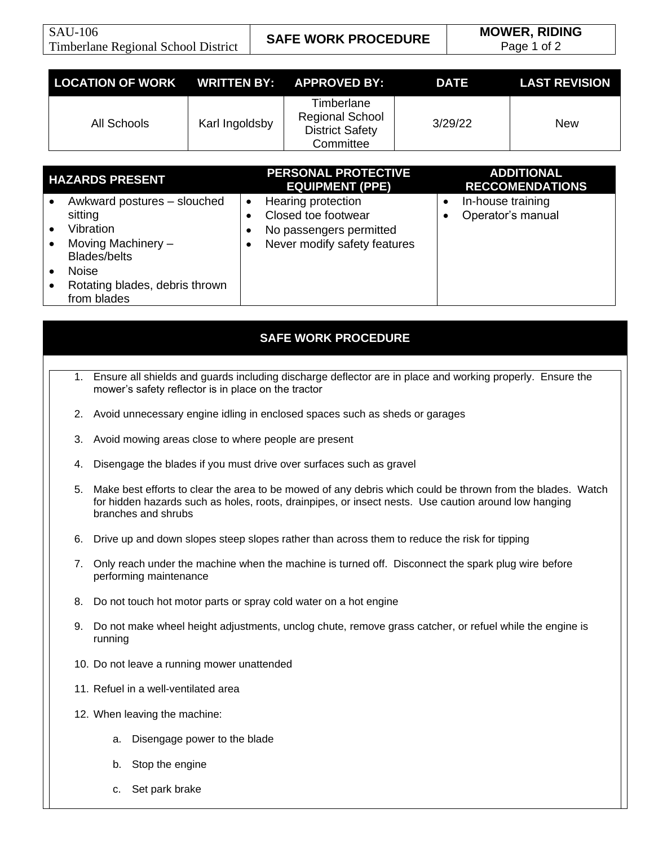Page 1 of 2

| LOCATION OF WORK WRITTEN BY: APPROVED BY: |                |                                                                             | <b>DATE</b> | <b>LAST REVISION</b> |
|-------------------------------------------|----------------|-----------------------------------------------------------------------------|-------------|----------------------|
| All Schools                               | Karl Ingoldsby | Timberlane<br><b>Regional School</b><br><b>District Safety</b><br>Committee | 3/29/22     | New                  |

| <b>HAZARDS PRESENT</b> |                                | <b>PERSONAL PROTECTIVE</b><br><b>EQUIPMENT (PPE)</b> | <b>ADDITIONAL</b><br><b>RECCOMENDATIONS</b> |
|------------------------|--------------------------------|------------------------------------------------------|---------------------------------------------|
|                        | Awkward postures - slouched    | Hearing protection<br>$\bullet$                      | In-house training                           |
|                        | sitting                        | Closed toe footwear                                  | Operator's manual                           |
|                        | Vibration                      | No passengers permitted                              |                                             |
|                        | Moving Machinery -             | Never modify safety features                         |                                             |
|                        | <b>Blades/belts</b>            |                                                      |                                             |
|                        | <b>Noise</b>                   |                                                      |                                             |
|                        | Rotating blades, debris thrown |                                                      |                                             |
|                        | from blades                    |                                                      |                                             |

## **SAFE WORK PROCEDURE**

- 1. Ensure all shields and guards including discharge deflector are in place and working properly. Ensure the mower's safety reflector is in place on the tractor
- 2. Avoid unnecessary engine idling in enclosed spaces such as sheds or garages
- 3. Avoid mowing areas close to where people are present
- 4. Disengage the blades if you must drive over surfaces such as gravel
- 5. Make best efforts to clear the area to be mowed of any debris which could be thrown from the blades. Watch for hidden hazards such as holes, roots, drainpipes, or insect nests. Use caution around low hanging branches and shrubs
- 6. Drive up and down slopes steep slopes rather than across them to reduce the risk for tipping
- 7. Only reach under the machine when the machine is turned off. Disconnect the spark plug wire before performing maintenance
- 8. Do not touch hot motor parts or spray cold water on a hot engine
- 9. Do not make wheel height adjustments, unclog chute, remove grass catcher, or refuel while the engine is running
- 10. Do not leave a running mower unattended
- 11. Refuel in a well-ventilated area
- 12. When leaving the machine:
	- a. Disengage power to the blade
	- b. Stop the engine
	- c. Set park brake